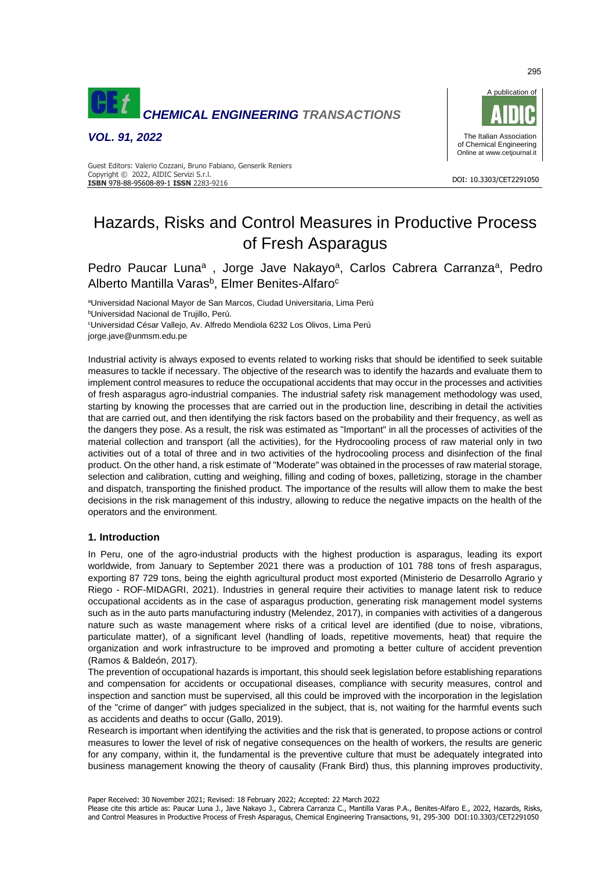

*VOL. 91, 2022*



#### DOI: 10.3303/CET2291050 **ISBN** 978-88-95608-89-1 **ISSN** 2283-9216 Guest Editors: Valerio Cozzani, Bruno Fabiano, Genserik Reniers Copyright © 2022, AIDIC Servizi S.r.l.

# Hazards, Risks and Control Measures in Productive Process of Fresh Asparagus

Pedro Paucar Luna<sup>a</sup>, Jorge Jave Nakayo<sup>a</sup>, Carlos Cabrera Carranza<sup>a</sup>, Pedro Alberto Mantilla Varas<sup>b</sup>, Elmer Benites-Alfaro<sup>c</sup>

<sup>a</sup>Universidad Nacional Mayor de San Marcos, Ciudad Universitaria, Lima Perú <sup>b</sup>Universidad Nacional de Trujillo, Perú. <sup>c</sup>Universidad César Vallejo, Av. Alfredo Mendiola 6232 Los Olivos, Lima Perú

jorge.jave@unmsm.edu.pe

Industrial activity is always exposed to events related to working risks that should be identified to seek suitable measures to tackle if necessary. The objective of the research was to identify the hazards and evaluate them to implement control measures to reduce the occupational accidents that may occur in the processes and activities of fresh asparagus agro-industrial companies. The industrial safety risk management methodology was used, starting by knowing the processes that are carried out in the production line, describing in detail the activities that are carried out, and then identifying the risk factors based on the probability and their frequency, as well as the dangers they pose. As a result, the risk was estimated as "Important" in all the processes of activities of the material collection and transport (all the activities), for the Hydrocooling process of raw material only in two activities out of a total of three and in two activities of the hydrocooling process and disinfection of the final product. On the other hand, a risk estimate of "Moderate" was obtained in the processes of raw material storage, selection and calibration, cutting and weighing, filling and coding of boxes, palletizing, storage in the chamber and dispatch, transporting the finished product. The importance of the results will allow them to make the best decisions in the risk management of this industry, allowing to reduce the negative impacts on the health of the operators and the environment.

# **1. Introduction**

In Peru, one of the agro-industrial products with the highest production is asparagus, leading its export worldwide, from January to September 2021 there was a production of 101 788 tons of fresh asparagus, exporting 87 729 tons, being the eighth agricultural product most exported (Ministerio de Desarrollo Agrario y Riego - ROF-MIDAGRI, 2021). Industries in general require their activities to manage latent risk to reduce occupational accidents as in the case of asparagus production, generating risk management model systems such as in the auto parts manufacturing industry (Melendez, 2017), in companies with activities of a dangerous nature such as waste management where risks of a critical level are identified (due to noise, vibrations, particulate matter), of a significant level (handling of loads, repetitive movements, heat) that require the organization and work infrastructure to be improved and promoting a better culture of accident prevention (Ramos & Baldeón, 2017).

The prevention of occupational hazards is important, this should seek legislation before establishing reparations and compensation for accidents or occupational diseases, compliance with security measures, control and inspection and sanction must be supervised, all this could be improved with the incorporation in the legislation of the "crime of danger" with judges specialized in the subject, that is, not waiting for the harmful events such as accidents and deaths to occur (Gallo, 2019).

Research is important when identifying the activities and the risk that is generated, to propose actions or control measures to lower the level of risk of negative consequences on the health of workers, the results are generic for any company, within it, the fundamental is the preventive culture that must be adequately integrated into business management knowing the theory of causality (Frank Bird) thus, this planning improves productivity,

Paper Received: 30 November 2021; Revised: 18 February 2022; Accepted: 22 March 2022

Please cite this article as: Paucar Luna J., Jave Nakayo J., Cabrera Carranza C., Mantilla Varas P.A., Benites-Alfaro E., 2022, Hazards, Risks, and Control Measures in Productive Process of Fresh Asparagus, Chemical Engineering Transactions, 91, 295-300 DOI:10.3303/CET2291050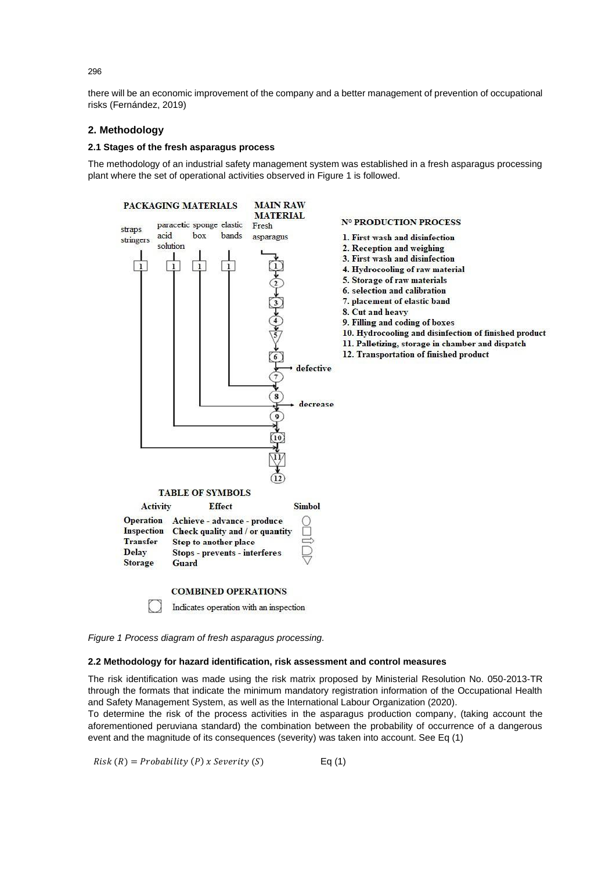there will be an economic improvement of the company and a better management of prevention of occupational risks (Fernández, 2019)

# **2. Methodology**

### **2.1 Stages of the fresh asparagus process**

The methodology of an industrial safety management system was established in a fresh asparagus processing plant where the set of operational activities observed in Figure 1 is followed.



*Figure 1 Process diagram of fresh asparagus processing.*

# **2.2 Methodology for hazard identification, risk assessment and control measures**

The risk identification was made using the risk matrix proposed by Ministerial Resolution No. 050-2013-TR through the formats that indicate the minimum mandatory registration information of the Occupational Health and Safety Management System, as well as the International Labour Organization (2020).

To determine the risk of the process activities in the asparagus production company, (taking account the aforementioned peruviana standard) the combination between the probability of occurrence of a dangerous event and the magnitude of its consequences (severity) was taken into account. See Eq (1)

 $Risk(R) = Probability(P)$  x Severity (S) Eq (1)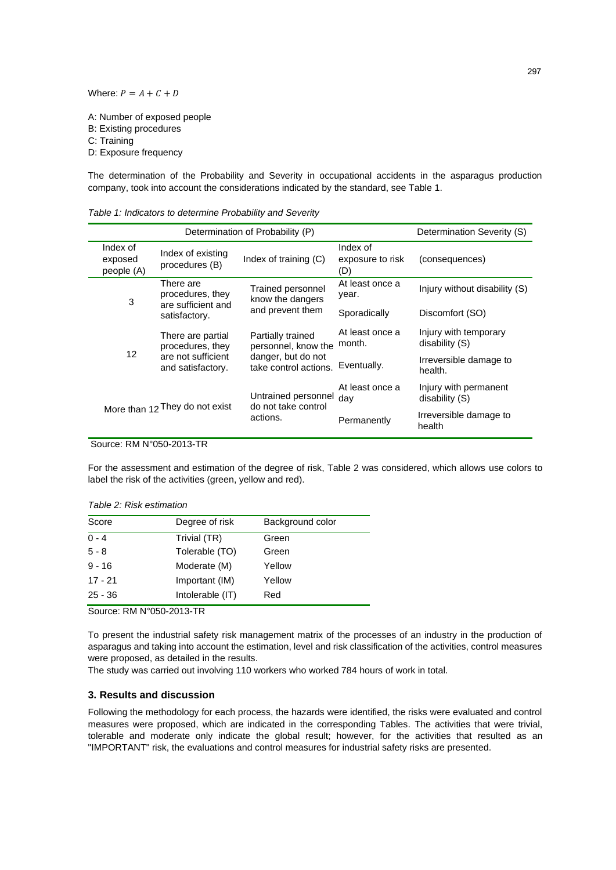Where:  $P = A + C + D$ 

A: Number of exposed people B: Existing procedures C: Training D: Exposure frequency

The determination of the Probability and Severity in occupational accidents in the asparagus production company, took into account the considerations indicated by the standard, see Table 1.

*Table 1: Indicators to determine Probability and Severity*

|                                   | Determination Severity (S)                                                       |                                             |                                     |                                         |
|-----------------------------------|----------------------------------------------------------------------------------|---------------------------------------------|-------------------------------------|-----------------------------------------|
| Index of<br>exposed<br>people (A) | Index of existing<br>procedures (B)                                              | Index of training (C)                       | Index of<br>exposure to risk<br>(D) | (consequences)                          |
| 3                                 | There are<br>procedures, they<br>are sufficient and                              | Trained personnel<br>know the dangers       | At least once a<br>year.            | Injury without disability (S)           |
|                                   | satisfactory.                                                                    | and prevent them                            | Sporadically                        | Discomfort (SO)                         |
| 12                                | There are partial<br>procedures, they<br>are not sufficient<br>and satisfactory. | Partially trained<br>personnel, know the    | At least once a<br>month.           | Injury with temporary<br>disability (S) |
|                                   |                                                                                  | danger, but do not<br>take control actions. | Eventually.                         | Irreversible damage to<br>health.       |
| More than 12 They do not exist    |                                                                                  | Untrained personnel<br>do not take control  | At least once a<br>dav              | Injury with permanent<br>disability (S) |
|                                   |                                                                                  | actions.                                    | Permanently                         | Irreversible damage to<br>health        |

Source: RM N°050-2013-TR

For the assessment and estimation of the degree of risk, Table 2 was considered, which allows use colors to label the risk of the activities (green, yellow and red).

*Table 2: Risk estimation*

| Score     | Degree of risk   | Background color |
|-----------|------------------|------------------|
| $0 - 4$   | Trivial (TR)     | Green            |
| $5 - 8$   | Tolerable (TO)   | Green            |
| $9 - 16$  | Moderate (M)     | Yellow           |
| $17 - 21$ | Important (IM)   | Yellow           |
| $25 - 36$ | Intolerable (IT) | Red              |

Source: RM N°050-2013-TR

To present the industrial safety risk management matrix of the processes of an industry in the production of asparagus and taking into account the estimation, level and risk classification of the activities, control measures were proposed, as detailed in the results.

The study was carried out involving 110 workers who worked 784 hours of work in total.

# **3. Results and discussion**

Following the methodology for each process, the hazards were identified, the risks were evaluated and control measures were proposed, which are indicated in the corresponding Tables. The activities that were trivial, tolerable and moderate only indicate the global result; however, for the activities that resulted as an "IMPORTANT" risk, the evaluations and control measures for industrial safety risks are presented.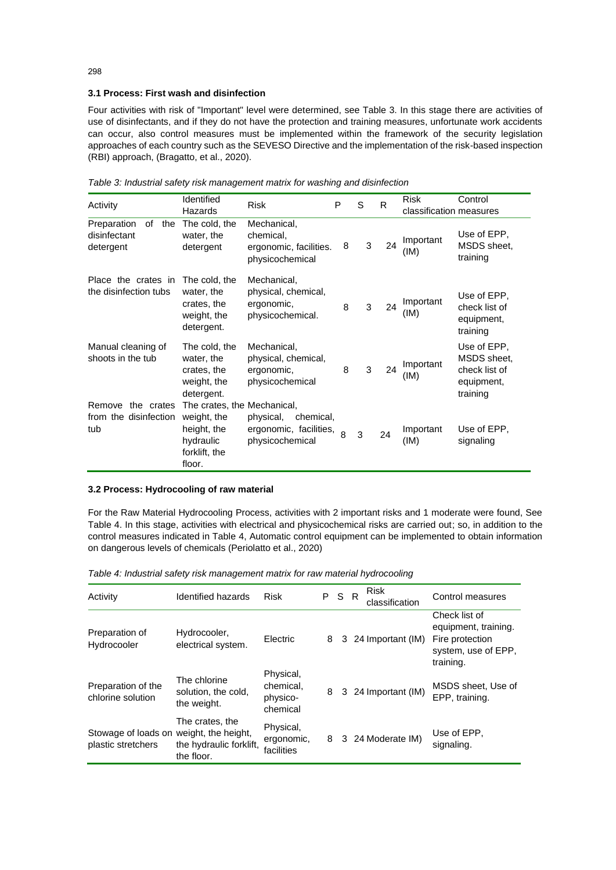# **3.1 Process: First wash and disinfection**

Four activities with risk of "Important" level were determined, see Table 3. In this stage there are activities of use of disinfectants, and if they do not have the protection and training measures, unfortunate work accidents can occur, also control measures must be implemented within the framework of the security legislation approaches of each country such as the SEVESO Directive and the implementation of the risk-based inspection (RBI) approach, (Bragatto, et al., 2020).

| Activity                                              | Identified<br>Hazards                                                                             | <b>Risk</b>                                                           | P            | S | $\mathsf{R}$ | <b>Risk</b><br>classification measures | Control                                                               |
|-------------------------------------------------------|---------------------------------------------------------------------------------------------------|-----------------------------------------------------------------------|--------------|---|--------------|----------------------------------------|-----------------------------------------------------------------------|
| of<br>the<br>Preparation<br>disinfectant<br>detergent | The cold, the<br>water, the<br>detergent                                                          | Mechanical,<br>chemical,<br>ergonomic, facilities.<br>physicochemical | 8            | 3 | 24           | Important<br>(IM)                      | Use of EPP,<br>MSDS sheet.<br>training                                |
| Place the crates in<br>the disinfection tubs          | The cold, the<br>water, the<br>crates, the<br>weight, the<br>detergent.                           | Mechanical,<br>physical, chemical,<br>ergonomic,<br>physicochemical.  | 8            | 3 | 24           | Important<br>(IM)                      | Use of EPP,<br>check list of<br>equipment,<br>training                |
| Manual cleaning of<br>shoots in the tub               | The cold, the<br>water, the<br>crates, the<br>weight, the<br>detergent.                           | Mechanical,<br>physical, chemical,<br>ergonomic,<br>physicochemical   | 8            | 3 | 24           | Important<br>(IM)                      | Use of EPP.<br>MSDS sheet,<br>check list of<br>equipment,<br>training |
| the crates<br>Remove<br>from the disinfection<br>tub  | The crates, the Mechanical,<br>weight, the<br>height, the<br>hydraulic<br>forklift, the<br>floor. | physical,<br>chemical,<br>ergonomic, facilities,<br>physicochemical   | $\mathsf{R}$ | 3 | 24           | Important<br>(IM)                      | Use of EPP,<br>signaling                                              |

*Table 3: Industrial safety risk management matrix for washing and disinfection*

### **3.2 Process: Hydrocooling of raw material**

For the Raw Material Hydrocooling Process, activities with 2 important risks and 1 moderate were found, See Table 4. In this stage, activities with electrical and physicochemical risks are carried out; so, in addition to the control measures indicated in Table 4, Automatic control equipment can be implemented to obtain information on dangerous levels of chemicals (Periolatto et al., 2020)

| Activity                                                      | Identified hazards                                       | <b>Risk</b>                                    | P S R |   | <b>Risk</b><br>classification | Control measures                                                                             |
|---------------------------------------------------------------|----------------------------------------------------------|------------------------------------------------|-------|---|-------------------------------|----------------------------------------------------------------------------------------------|
| Preparation of<br>Hydrocooler                                 | Hydrocooler,<br>electrical system.                       | Electric                                       | 8     | 3 | 24 Important (IM)             | Check list of<br>equipment, training.<br>Fire protection<br>system, use of EPP,<br>training. |
| Preparation of the<br>chlorine solution                       | The chlorine<br>solution, the cold,<br>the weight.       | Physical,<br>chemical,<br>physico-<br>chemical | 8     |   | 3 24 Important (IM)           | MSDS sheet, Use of<br>EPP, training.                                                         |
| Stowage of loads on weight, the height,<br>plastic stretchers | The crates, the<br>the hydraulic forklift,<br>the floor. | Physical,<br>ergonomic,<br>facilities          | 8     |   | 3 24 Moderate IM)             | Use of EPP.<br>signaling.                                                                    |

*Table 4: Industrial safety risk management matrix for raw material hydrocooling*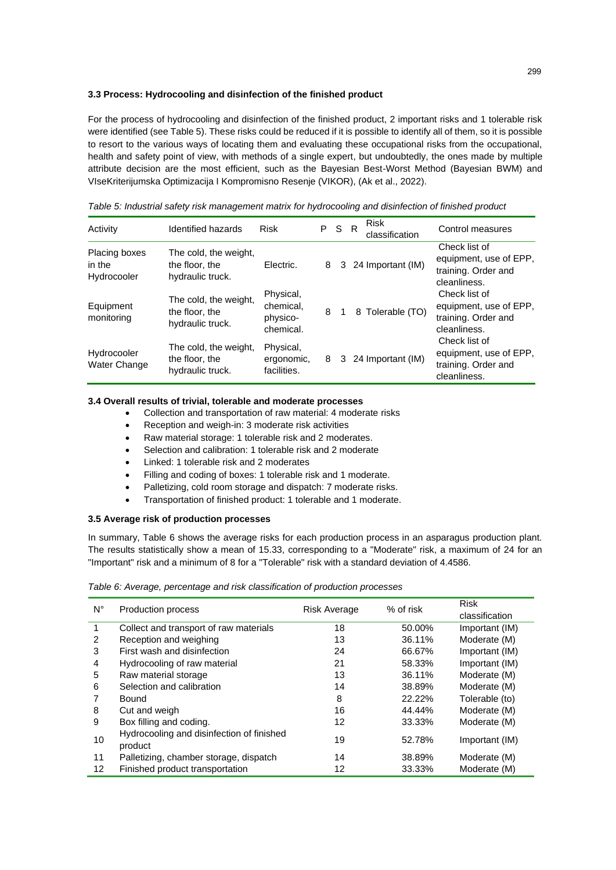### **3.3 Process: Hydrocooling and disinfection of the finished product**

For the process of hydrocooling and disinfection of the finished product, 2 important risks and 1 tolerable risk were identified (see Table 5). These risks could be reduced if it is possible to identify all of them, so it is possible to resort to the various ways of locating them and evaluating these occupational risks from the occupational, health and safety point of view, with methods of a single expert, but undoubtedly, the ones made by multiple attribute decision are the most efficient, such as the Bayesian Best-Worst Method (Bayesian BWM) and VIseKriterijumska Optimizacija I Kompromisno Resenje (VIKOR), (Ak et al., 2022).

*Table 5: Industrial safety risk management matrix for hydrocooling and disinfection of finished product*

| Activity                                      | Identified hazards                                          | <b>Risk</b>                                     | P S |             | R | <b>Risk</b><br>classification | Control measures                                                               |
|-----------------------------------------------|-------------------------------------------------------------|-------------------------------------------------|-----|-------------|---|-------------------------------|--------------------------------------------------------------------------------|
| <b>Placing boxes</b><br>in the<br>Hydrocooler | The cold, the weight,<br>the floor, the<br>hydraulic truck. | Electric.                                       | 8   |             |   | 3 24 Important (IM)           | Check list of<br>equipment, use of EPP,<br>training. Order and<br>cleanliness. |
| Equipment<br>monitoring                       | The cold, the weight,<br>the floor, the<br>hydraulic truck. | Physical,<br>chemical.<br>physico-<br>chemical. | 8   | $\mathbf 1$ |   | 8 Tolerable (TO)              | Check list of<br>equipment, use of EPP,<br>training. Order and<br>cleanliness. |
| Hydrocooler<br>Water Change                   | The cold, the weight,<br>the floor, the<br>hydraulic truck. | Physical,<br>ergonomic,<br>facilities.          | 8   |             |   | 3 24 Important (IM)           | Check list of<br>equipment, use of EPP,<br>training. Order and<br>cleanliness. |

# **3.4 Overall results of trivial, tolerable and moderate processes**

- Collection and transportation of raw material: 4 moderate risks
- Reception and weigh-in: 3 moderate risk activities
- Raw material storage: 1 tolerable risk and 2 moderates.
- Selection and calibration: 1 tolerable risk and 2 moderate
- Linked: 1 tolerable risk and 2 moderates
- Filling and coding of boxes: 1 tolerable risk and 1 moderate.
- Palletizing, cold room storage and dispatch: 7 moderate risks.
- Transportation of finished product: 1 tolerable and 1 moderate.

### **3.5 Average risk of production processes**

In summary, Table 6 shows the average risks for each production process in an asparagus production plant. The results statistically show a mean of 15.33, corresponding to a "Moderate" risk, a maximum of 24 for an "Important" risk and a minimum of 8 for a "Tolerable" risk with a standard deviation of 4.4586.

*Table 6: Average, percentage and risk classification of production processes*

| $N^{\circ}$ | <b>Production process</b>                 |                     | $%$ of risk | <b>Risk</b>    |
|-------------|-------------------------------------------|---------------------|-------------|----------------|
|             |                                           | <b>Risk Average</b> |             | classification |
|             | Collect and transport of raw materials    | 18                  | 50.00%      | Important (IM) |
| 2           | Reception and weighing                    | 13                  | 36.11%      | Moderate (M)   |
| 3           | First wash and disinfection               | 24                  | 66.67%      | Important (IM) |
| 4           | Hydrocooling of raw material              | 21                  | 58.33%      | Important (IM) |
| 5           | Raw material storage                      | 13                  | 36.11%      | Moderate (M)   |
| 6           | Selection and calibration                 | 14                  | 38.89%      | Moderate (M)   |
|             | Bound                                     | 8                   | 22.22%      | Tolerable (to) |
| 8           | Cut and weigh                             | 16                  | 44.44%      | Moderate (M)   |
| 9           | Box filling and coding.                   | 12                  | 33.33%      | Moderate (M)   |
| 10          | Hydrocooling and disinfection of finished | 19                  | 52.78%      | Important (IM) |
|             | product                                   |                     |             |                |
| 11          | Palletizing, chamber storage, dispatch    | 14                  | 38.89%      | Moderate (M)   |
| 12          | Finished product transportation           | 12                  | 33.33%      | Moderate (M)   |